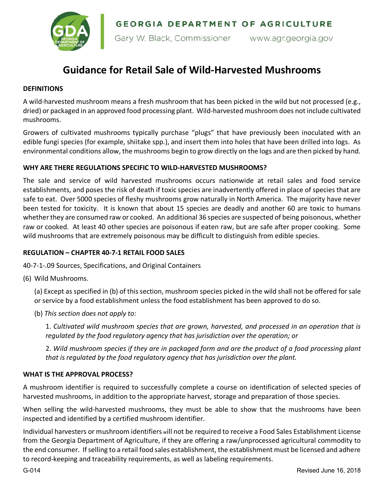GEORGIA DEPARTMENT OF AGRICULTURE



Gary W. Black, Commissioner www.agr.georgia.gov

# **Guidance for Retail Sale of Wild-Harvested Mushrooms**

## **DEFINITIONS**

A wild-harvested mushroom means a fresh mushroom that has been picked in the wild but not processed (e.g., dried) or packaged in an approved food processing plant. Wild-harvested mushroom does not include cultivated mushrooms.

Growers of cultivated mushrooms typically purchase "plugs" that have previously been inoculated with an edible fungi species (for example, shiitake spp.), and insert them into holes that have been drilled into logs. As environmental conditions allow, the mushrooms begin to grow directly on the logs and are then picked by hand.

## **WHY ARE THERE REGULATIONS SPECIFIC TO WILD-HARVESTED MUSHROOMS?**

The sale and service of wild harvested mushrooms occurs nationwide at retail sales and food service establishments, and poses the risk of death if toxic species are inadvertently offered in place of species that are safe to eat. Over 5000 species of fleshy mushrooms grow naturally in North America. The majority have never been tested for toxicity. It is known that about 15 species are deadly and another 60 are toxic to humans whether they are consumed raw or cooked. An additional 36 species are suspected of being poisonous, whether raw or cooked. At least 40 other species are poisonous if eaten raw, but are safe after proper cooking. Some wild mushrooms that are extremely poisonous may be difficult to distinguish from edible species.

#### **REGULATION – CHAPTER 40-7-1 RETAIL FOOD SALES**

40-7-1-.09 Sources, Specifications, and Original Containers

(6) Wild Mushrooms.

(a) Except as specified in (b) of this section, mushroom species picked in the wild shall not be offered for sale or service by a food establishment unless the food establishment has been approved to do so.

(b) *This section does not apply to:*

1. *Cultivated wild mushroom species that are grown, harvested, and processed in an operation that is regulated by the food regulatory agency that has jurisdiction over the operation; or*

2. *Wild mushroom species if they are in packaged form and are the product of a food processing plant that is regulated by the food regulatory agency that has jurisdiction over the plant.*

#### **WHAT IS THE APPROVAL PROCESS?**

A mushroom identifier is required to successfully complete a course on identification of selected species of harvested mushrooms, in addition to the appropriate harvest, storage and preparation of those species.

When selling the wild-harvested mushrooms, they must be able to show that the mushrooms have been inspected and identified by a certified mushroom identifier.

Individual harvesters or mushroom identifiers <sup>w</sup>ill not be required to receive a Food Sales Establishment License from the Georgia Department of Agriculture, if they are offering a raw/unprocessed agricultural commodity to the end consumer. If selling to a retail food sales establishment, the establishment must be licensed and adhere to record-keeping and traceability requirements, as well as labeling requirements.